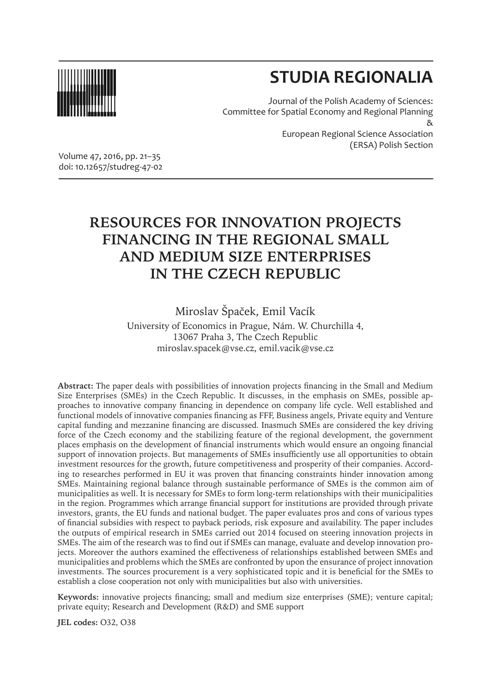

# **STUDIA REGIONALIA**

Journal of the Polish Academy of Sciences: Committee for Spatial Economy and Regional Planning & European Regional Science Association (ERSA) Polish Section

Volume 47, 2016, pp. 21–35 doi: 10.12657/studreg-47-02

## **RESOURCES FOR INNOVATION PROJECTS FINANCING IN THE REGIONAL SMALL AND MEDIUM SIZE ENTERPRISES IN THE CZECH REPUBLIC**

Miroslav Špaček, Emil Vacík

University of Economics in Prague, Nám. W. Churchilla 4, 13067 Praha 3, The Czech Republic miroslav.spacek@vse.cz, emil.vacik@vse.cz

**Abstract:** The paper deals with possibilities of innovation projects financing in the Small and Medium Size Enterprises (SMEs) in the Czech Republic. It discusses, in the emphasis on SMEs, possible approaches to innovative company financing in dependence on company life cycle. Well established and functional models of innovative companies financing as FFF, Business angels, Private equity and Venture capital funding and mezzanine financing are discussed. Inasmuch SMEs are considered the key driving force of the Czech economy and the stabilizing feature of the regional development, the government places emphasis on the development of financial instruments which would ensure an ongoing financial support of innovation projects. But managements of SMEs insufficiently use all opportunities to obtain investment resources for the growth, future competitiveness and prosperity of their companies. According to researches performed in EU it was proven that financing constraints hinder innovation among SMEs. Maintaining regional balance through sustainable performance of SMEs is the common aim of municipalities as well. It is necessary for SMEs to form long-term relationships with their municipalities in the region. Programmes which arrange financial support for institutions are provided through private investors, grants, the EU funds and national budget. The paper evaluates pros and cons of various types of financial subsidies with respect to payback periods, risk exposure and availability. The paper includes the outputs of empirical research in SMEs carried out 2014 focused on steering innovation projects in SMEs. The aim of the research was to find out if SMEs can manage, evaluate and develop innovation projects. Moreover the authors examined the effectiveness of relationships established between SMEs and municipalities and problems which the SMEs are confronted by upon the ensurance of project innovation investments. The sources procurement is a very sophisticated topic and it is beneficial for the SMEs to establish a close cooperation not only with municipalities but also with universities.

**Keywords:** innovative projects financing; small and medium size enterprises (SME); venture capital; private equity; Research and Development (R&D) and SME support

**JEL codes:** O32, O38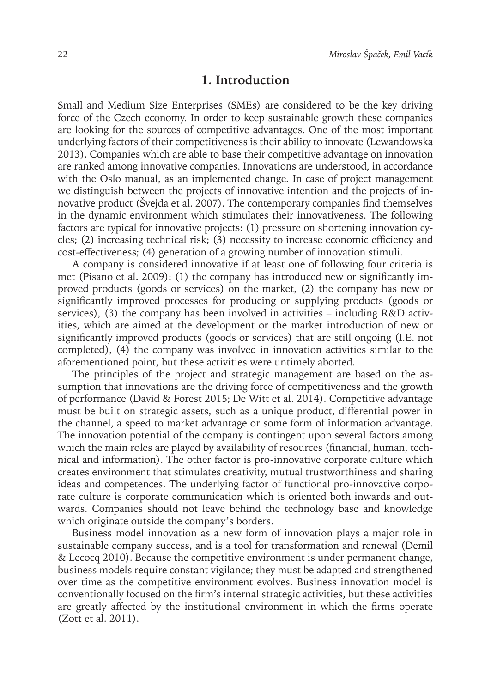#### **1. Introduction**

Small and Medium Size Enterprises (SMEs) are considered to be the key driving force of the Czech economy. In order to keep sustainable growth these companies are looking for the sources of competitive advantages. One of the most important underlying factors of their competitiveness is their ability to innovate (Lewandowska 2013). Companies which are able to base their competitive advantage on innovation are ranked among innovative companies. Innovations are understood, in accordance with the Oslo manual, as an implemented change. In case of project management we distinguish between the projects of innovative intention and the projects of innovative product (Švejda et al. 2007). The contemporary companies find themselves in the dynamic environment which stimulates their innovativeness. The following factors are typical for innovative projects: (1) pressure on shortening innovation cycles; (2) increasing technical risk; (3) necessity to increase economic efficiency and cost-effectiveness; (4) generation of a growing number of innovation stimuli.

A company is considered innovative if at least one of following four criteria is met (Pisano et al. 2009): (1) the company has introduced new or significantly improved products (goods or services) on the market, (2) the company has new or significantly improved processes for producing or supplying products (goods or services), (3) the company has been involved in activities – including R&D activities, which are aimed at the development or the market introduction of new or significantly improved products (goods or services) that are still ongoing (I.E. not completed), (4) the company was involved in innovation activities similar to the aforementioned point, but these activities were untimely aborted.

The principles of the project and strategic management are based on the assumption that innovations are the driving force of competitiveness and the growth of performance (David & Forest 2015; De Witt et al. 2014). Competitive advantage must be built on strategic assets, such as a unique product, differential power in the channel, a speed to market advantage or some form of information advantage. The innovation potential of the company is contingent upon several factors among which the main roles are played by availability of resources (financial, human, technical and information). The other factor is pro-innovative corporate culture which creates environment that stimulates creativity, mutual trustworthiness and sharing ideas and competences. The underlying factor of functional pro-innovative corporate culture is corporate communication which is oriented both inwards and outwards. Companies should not leave behind the technology base and knowledge which originate outside the company's borders.

Business model innovation as a new form of innovation plays a major role in sustainable company success, and is a tool for transformation and renewal (Demil & Lecocq 2010). Because the competitive environment is under permanent change, business models require constant vigilance; they must be adapted and strengthened over time as the competitive environment evolves. Business innovation model is conventionally focused on the firm's internal strategic activities, but these activities are greatly affected by the institutional environment in which the firms operate (Zott et al. 2011).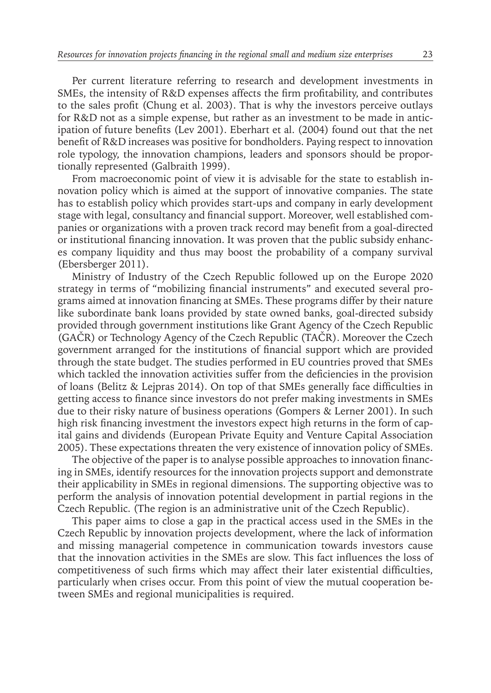Per current literature referring to research and development investments in SMEs, the intensity of R&D expenses affects the firm profitability, and contributes to the sales profit (Chung et al. 2003). That is why the investors perceive outlays for R&D not as a simple expense, but rather as an investment to be made in anticipation of future benefits (Lev 2001). Eberhart et al. (2004) found out that the net benefit of R&D increases was positive for bondholders. Paying respect to innovation role typology, the innovation champions, leaders and sponsors should be proportionally represented (Galbraith 1999).

From macroeconomic point of view it is advisable for the state to establish innovation policy which is aimed at the support of innovative companies. The state has to establish policy which provides start-ups and company in early development stage with legal, consultancy and financial support. Moreover, well established companies or organizations with a proven track record may benefit from a goal-directed or institutional financing innovation. It was proven that the public subsidy enhances company liquidity and thus may boost the probability of a company survival (Ebersberger 2011).

Ministry of Industry of the Czech Republic followed up on the Europe 2020 strategy in terms of "mobilizing financial instruments" and executed several programs aimed at innovation financing at SMEs. These programs differ by their nature like subordinate bank loans provided by state owned banks, goal-directed subsidy provided through government institutions like Grant Agency of the Czech Republic (GAČR) or Technology Agency of the Czech Republic (TAČR). Moreover the Czech government arranged for the institutions of financial support which are provided through the state budget. The studies performed in EU countries proved that SMEs which tackled the innovation activities suffer from the deficiencies in the provision of loans (Belitz & Lejpras 2014). On top of that SMEs generally face difficulties in getting access to finance since investors do not prefer making investments in SMEs due to their risky nature of business operations (Gompers & Lerner 2001). In such high risk financing investment the investors expect high returns in the form of capital gains and dividends (European Private Equity and Venture Capital Association 2005). These expectations threaten the very existence of innovation policy of SMEs.

The objective of the paper is to analyse possible approaches to innovation financing in SMEs, identify resources for the innovation projects support and demonstrate their applicability in SMEs in regional dimensions. The supporting objective was to perform the analysis of innovation potential development in partial regions in the Czech Republic. (The region is an administrative unit of the Czech Republic).

This paper aims to close a gap in the practical access used in the SMEs in the Czech Republic by innovation projects development, where the lack of information and missing managerial competence in communication towards investors cause that the innovation activities in the SMEs are slow. This fact influences the loss of competitiveness of such firms which may affect their later existential difficulties, particularly when crises occur. From this point of view the mutual cooperation between SMEs and regional municipalities is required.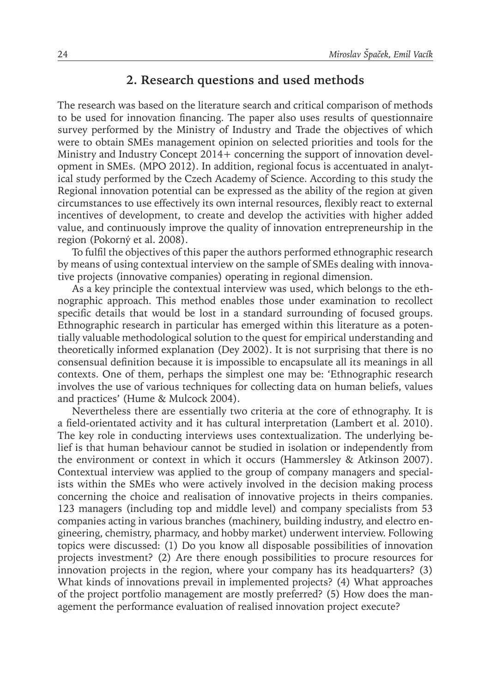#### **2. Research questions and used methods**

The research was based on the literature search and critical comparison of methods to be used for innovation financing. The paper also uses results of questionnaire survey performed by the Ministry of Industry and Trade the objectives of which were to obtain SMEs management opinion on selected priorities and tools for the Ministry and Industry Concept 2014+ concerning the support of innovation development in SMEs. (MPO 2012). In addition, regional focus is accentuated in analytical study performed by the Czech Academy of Science. According to this study the Regional innovation potential can be expressed as the ability of the region at given circumstances to use effectively its own internal resources, flexibly react to external incentives of development, to create and develop the activities with higher added value, and continuously improve the quality of innovation entrepreneurship in the region (Pokorný et al. 2008).

To fulfil the objectives of this paper the authors performed ethnographic research by means of using contextual interview on the sample of SMEs dealing with innovative projects (innovative companies) operating in regional dimension.

As a key principle the contextual interview was used, which belongs to the ethnographic approach. This method enables those under examination to recollect specific details that would be lost in a standard surrounding of focused groups. Ethnographic research in particular has emerged within this literature as a potentially valuable methodological solution to the quest for empirical understanding and theoretically informed explanation (Dey 2002). It is not surprising that there is no consensual definition because it is impossible to encapsulate all its meanings in all contexts. One of them, perhaps the simplest one may be: 'Ethnographic research involves the use of various techniques for collecting data on human beliefs, values and practices' (Hume & Mulcock 2004).

Nevertheless there are essentially two criteria at the core of ethnography. It is a field-orientated activity and it has cultural interpretation (Lambert et al. 2010). The key role in conducting interviews uses contextualization. The underlying belief is that human behaviour cannot be studied in isolation or independently from the environment or context in which it occurs (Hammersley & Atkinson 2007). Contextual interview was applied to the group of company managers and specialists within the SMEs who were actively involved in the decision making process concerning the choice and realisation of innovative projects in theirs companies. 123 managers (including top and middle level) and company specialists from 53 companies acting in various branches (machinery, building industry, and electro engineering, chemistry, pharmacy, and hobby market) underwent interview. Following topics were discussed: (1) Do you know all disposable possibilities of innovation projects investment? (2) Are there enough possibilities to procure resources for innovation projects in the region, where your company has its headquarters? (3) What kinds of innovations prevail in implemented projects? (4) What approaches of the project portfolio management are mostly preferred? (5) How does the management the performance evaluation of realised innovation project execute?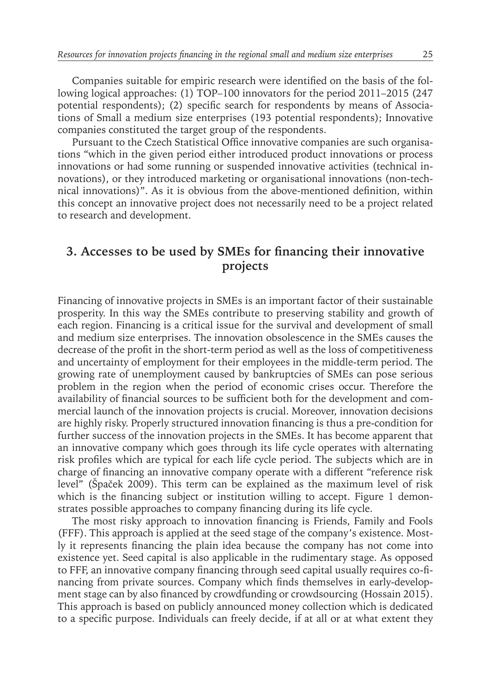Companies suitable for empiric research were identified on the basis of the following logical approaches: (1) TOP–100 innovators for the period 2011–2015 (247 potential respondents); (2) specific search for respondents by means of Associations of Small a medium size enterprises (193 potential respondents); Innovative companies constituted the target group of the respondents.

Pursuant to the Czech Statistical Office innovative companies are such organisations "which in the given period either introduced product innovations or process innovations or had some running or suspended innovative activities (technical innovations), or they introduced marketing or organisational innovations (non-technical innovations)". As it is obvious from the above-mentioned definition, within this concept an innovative project does not necessarily need to be a project related to research and development.

### **3. Accesses to be used by SMEs for financing their innovative projects**

Financing of innovative projects in SMEs is an important factor of their sustainable prosperity. In this way the SMEs contribute to preserving stability and growth of each region. Financing is a critical issue for the survival and development of small and medium size enterprises. The innovation obsolescence in the SMEs causes the decrease of the profit in the short-term period as well as the loss of competitiveness and uncertainty of employment for their employees in the middle-term period. The growing rate of unemployment caused by bankruptcies of SMEs can pose serious problem in the region when the period of economic crises occur. Therefore the availability of financial sources to be sufficient both for the development and commercial launch of the innovation projects is crucial. Moreover, innovation decisions are highly risky. Properly structured innovation financing is thus a pre-condition for further success of the innovation projects in the SMEs. It has become apparent that an innovative company which goes through its life cycle operates with alternating risk profiles which are typical for each life cycle period. The subjects which are in charge of financing an innovative company operate with a different "reference risk level" (Špaček 2009). This term can be explained as the maximum level of risk which is the financing subject or institution willing to accept. Figure 1 demonstrates possible approaches to company financing during its life cycle.

The most risky approach to innovation financing is Friends, Family and Fools (FFF). This approach is applied at the seed stage of the company's existence. Mostly it represents financing the plain idea because the company has not come into existence yet. Seed capital is also applicable in the rudimentary stage. As opposed to FFF, an innovative company financing through seed capital usually requires co-financing from private sources. Company which finds themselves in early-development stage can by also financed by crowdfunding or crowdsourcing (Hossain 2015). This approach is based on publicly announced money collection which is dedicated to a specific purpose. Individuals can freely decide, if at all or at what extent they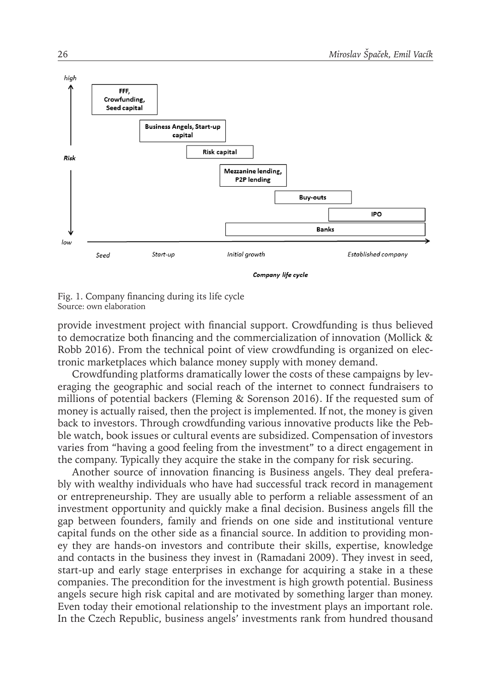

Company life cycle



provide investment project with financial support. Crowdfunding is thus believed to democratize both financing and the commercialization of innovation (Mollick & Robb 2016). From the technical point of view crowdfunding is organized on electronic marketplaces which balance money supply with money demand.

Crowdfunding platforms dramatically lower the costs of these campaigns by leveraging the geographic and social reach of the internet to connect fundraisers to millions of potential backers (Fleming & Sorenson 2016). If the requested sum of money is actually raised, then the project is implemented. If not, the money is given back to investors. Through crowdfunding various innovative products like the Pebble watch, book issues or cultural events are subsidized. Compensation of investors varies from "having a good feeling from the investment" to a direct engagement in the company. Typically they acquire the stake in the company for risk securing.

Another source of innovation financing is Business angels. They deal preferably with wealthy individuals who have had successful track record in management or entrepreneurship. They are usually able to perform a reliable assessment of an investment opportunity and quickly make a final decision. Business angels fill the gap between founders, family and friends on one side and institutional venture capital funds on the other side as a financial source. In addition to providing money they are hands-on investors and contribute their skills, expertise, knowledge and contacts in the business they invest in (Ramadani 2009). They invest in seed, start-up and early stage enterprises in exchange for acquiring a stake in a these companies. The precondition for the investment is high growth potential. Business angels secure high risk capital and are motivated by something larger than money. Even today their emotional relationship to the investment plays an important role. In the Czech Republic, business angels' investments rank from hundred thousand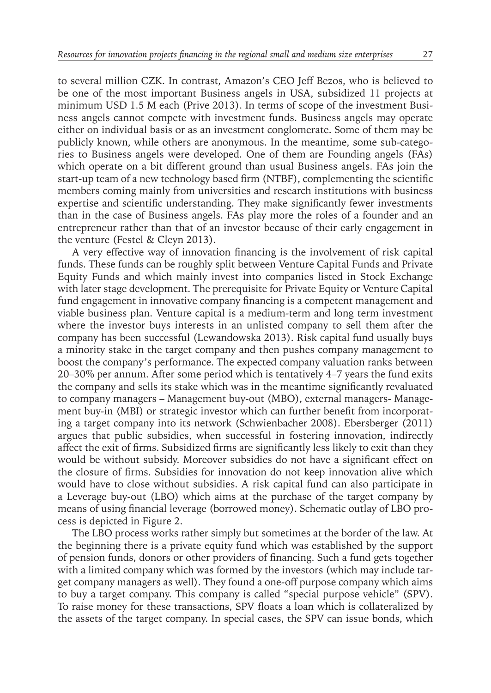to several million CZK. In contrast, Amazon's CEO Jeff Bezos, who is believed to be one of the most important Business angels in USA, subsidized 11 projects at minimum USD 1.5 M each (Prive 2013). In terms of scope of the investment Business angels cannot compete with investment funds. Business angels may operate either on individual basis or as an investment conglomerate. Some of them may be publicly known, while others are anonymous. In the meantime, some sub-categories to Business angels were developed. One of them are Founding angels (FAs) which operate on a bit different ground than usual Business angels. FAs join the start-up team of a new technology based firm (NTBF), complementing the scientific members coming mainly from universities and research institutions with business expertise and scientific understanding. They make significantly fewer investments than in the case of Business angels. FAs play more the roles of a founder and an entrepreneur rather than that of an investor because of their early engagement in the venture (Festel & Cleyn 2013).

A very effective way of innovation financing is the involvement of risk capital funds. These funds can be roughly split between Venture Capital Funds and Private Equity Funds and which mainly invest into companies listed in Stock Exchange with later stage development. The prerequisite for Private Equity or Venture Capital fund engagement in innovative company financing is a competent management and viable business plan. Venture capital is a medium-term and long term investment where the investor buys interests in an unlisted company to sell them after the company has been successful (Lewandowska 2013). Risk capital fund usually buys a minority stake in the target company and then pushes company management to boost the company's performance. The expected company valuation ranks between 20–30% per annum. After some period which is tentatively 4–7 years the fund exits the company and sells its stake which was in the meantime significantly revaluated to company managers – Management buy-out (MBO), external managers- Management buy-in (MBI) or strategic investor which can further benefit from incorporating a target company into its network (Schwienbacher 2008). Ebersberger (2011) argues that public subsidies, when successful in fostering innovation, indirectly affect the exit of firms. Subsidized firms are significantly less likely to exit than they would be without subsidy. Moreover subsidies do not have a significant effect on the closure of firms. Subsidies for innovation do not keep innovation alive which would have to close without subsidies. A risk capital fund can also participate in a Leverage buy-out (LBO) which aims at the purchase of the target company by means of using financial leverage (borrowed money). Schematic outlay of LBO process is depicted in Figure 2.

The LBO process works rather simply but sometimes at the border of the law. At the beginning there is a private equity fund which was established by the support of pension funds, donors or other providers of financing. Such a fund gets together with a limited company which was formed by the investors (which may include target company managers as well). They found a one-off purpose company which aims to buy a target company. This company is called "special purpose vehicle" (SPV). To raise money for these transactions, SPV floats a loan which is collateralized by the assets of the target company. In special cases, the SPV can issue bonds, which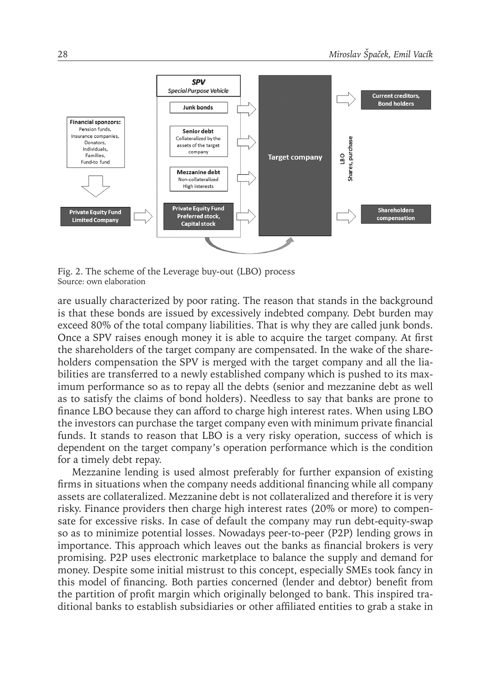

Fig. 2. The scheme of the Leverage buy-out (LBO) process Source: own elaboration

are usually characterized by poor rating. The reason that stands in the background is that these bonds are issued by excessively indebted company. Debt burden may exceed 80% of the total company liabilities. That is why they are called junk bonds. Once a SPV raises enough money it is able to acquire the target company. At first the shareholders of the target company are compensated. In the wake of the shareholders compensation the SPV is merged with the target company and all the liabilities are transferred to a newly established company which is pushed to its maximum performance so as to repay all the debts (senior and mezzanine debt as well as to satisfy the claims of bond holders). Needless to say that banks are prone to finance LBO because they can afford to charge high interest rates. When using LBO the investors can purchase the target company even with minimum private financial funds. It stands to reason that LBO is a very risky operation, success of which is dependent on the target company's operation performance which is the condition for a timely debt repay.

Mezzanine lending is used almost preferably for further expansion of existing firms in situations when the company needs additional financing while all company assets are collateralized. Mezzanine debt is not collateralized and therefore it is very risky. Finance providers then charge high interest rates (20% or more) to compensate for excessive risks. In case of default the company may run debt-equity-swap so as to minimize potential losses. Nowadays peer-to-peer (P2P) lending grows in importance. This approach which leaves out the banks as financial brokers is very promising. P2P uses electronic marketplace to balance the supply and demand for money. Despite some initial mistrust to this concept, especially SMEs took fancy in this model of financing. Both parties concerned (lender and debtor) benefit from the partition of profit margin which originally belonged to bank. This inspired traditional banks to establish subsidiaries or other affiliated entities to grab a stake in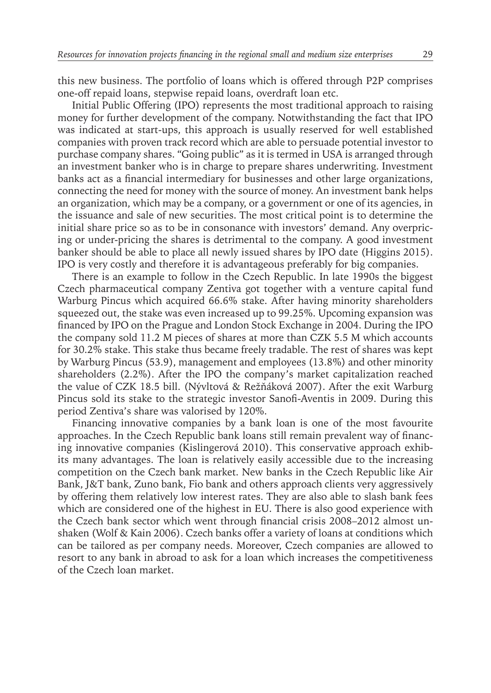this new business. The portfolio of loans which is offered through P2P comprises one-off repaid loans, stepwise repaid loans, overdraft loan etc.

Initial Public Offering (IPO) represents the most traditional approach to raising money for further development of the company. Notwithstanding the fact that IPO was indicated at start-ups, this approach is usually reserved for well established companies with proven track record which are able to persuade potential investor to purchase company shares. "Going public" as it is termed in USA is arranged through an investment banker who is in charge to prepare shares underwriting. Investment banks act as a financial intermediary for businesses and other large organizations, connecting the need for money with the source of money. An investment bank helps an organization, which may be a company, or a government or one of its agencies, in the issuance and sale of new securities. The most critical point is to determine the initial share price so as to be in consonance with investors' demand. Any overpricing or under-pricing the shares is detrimental to the company. A good investment banker should be able to place all newly issued shares by IPO date (Higgins 2015). IPO is very costly and therefore it is advantageous preferably for big companies.

There is an example to follow in the Czech Republic. In late 1990s the biggest Czech pharmaceutical company Zentiva got together with a venture capital fund Warburg Pincus which acquired 66.6% stake. After having minority shareholders squeezed out, the stake was even increased up to 99.25%. Upcoming expansion was financed by IPO on the Prague and London Stock Exchange in 2004. During the IPO the company sold 11.2 M pieces of shares at more than CZK 5.5 M which accounts for 30.2% stake. This stake thus became freely tradable. The rest of shares was kept by Warburg Pincus (53.9), management and employees (13.8%) and other minority shareholders (2.2%). After the IPO the company's market capitalization reached the value of CZK 18.5 bill. (Nývltová & Režňáková 2007). After the exit Warburg Pincus sold its stake to the strategic investor Sanofi-Aventis in 2009. During this period Zentiva's share was valorised by 120%.

Financing innovative companies by a bank loan is one of the most favourite approaches. In the Czech Republic bank loans still remain prevalent way of financing innovative companies (Kislingerová 2010). This conservative approach exhibits many advantages. The loan is relatively easily accessible due to the increasing competition on the Czech bank market. New banks in the Czech Republic like Air Bank, J&T bank, Zuno bank, Fio bank and others approach clients very aggressively by offering them relatively low interest rates. They are also able to slash bank fees which are considered one of the highest in EU. There is also good experience with the Czech bank sector which went through financial crisis 2008–2012 almost unshaken (Wolf & Kain 2006). Czech banks offer a variety of loans at conditions which can be tailored as per company needs. Moreover, Czech companies are allowed to resort to any bank in abroad to ask for a loan which increases the competitiveness of the Czech loan market.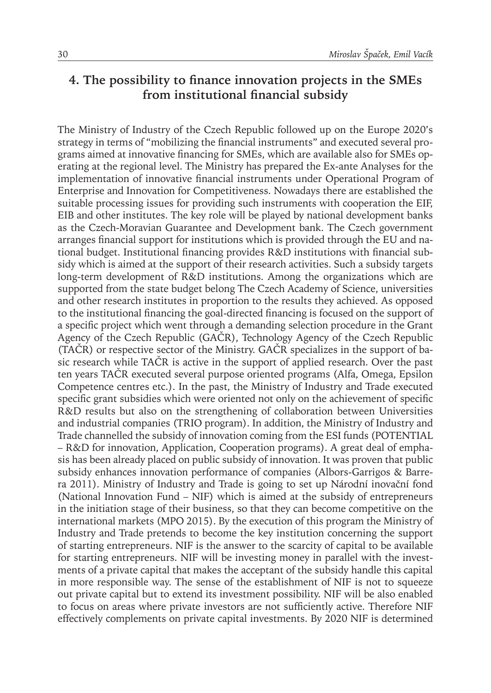### **4. The possibility to finance innovation projects in the SMEs from institutional financial subsidy**

The Ministry of Industry of the Czech Republic followed up on the Europe 2020's strategy in terms of "mobilizing the financial instruments" and executed several programs aimed at innovative financing for SMEs, which are available also for SMEs operating at the regional level. The Ministry has prepared the Ex-ante Analyses for the implementation of innovative financial instruments under Operational Program of Enterprise and Innovation for Competitiveness. Nowadays there are established the suitable processing issues for providing such instruments with cooperation the EIF, EIB and other institutes. The key role will be played by national development banks as the Czech-Moravian Guarantee and Development bank. The Czech government arranges financial support for institutions which is provided through the EU and national budget. Institutional financing provides R&D institutions with financial subsidy which is aimed at the support of their research activities. Such a subsidy targets long-term development of R&D institutions. Among the organizations which are supported from the state budget belong The Czech Academy of Science, universities and other research institutes in proportion to the results they achieved. As opposed to the institutional financing the goal-directed financing is focused on the support of a specific project which went through a demanding selection procedure in the Grant Agency of the Czech Republic (GAČR), Technology Agency of the Czech Republic (TAČR) or respective sector of the Ministry. GAČR specializes in the support of basic research while TAČR is active in the support of applied research. Over the past ten years TAČR executed several purpose oriented programs (Alfa, Omega, Epsilon Competence centres etc.). In the past, the Ministry of Industry and Trade executed specific grant subsidies which were oriented not only on the achievement of specific R&D results but also on the strengthening of collaboration between Universities and industrial companies (TRIO program). In addition, the Ministry of Industry and Trade channelled the subsidy of innovation coming from the ESI funds (POTENTIAL – R&D for innovation, Application, Cooperation programs). A great deal of emphasis has been already placed on public subsidy of innovation. It was proven that public subsidy enhances innovation performance of companies (Albors-Garrigos & Barrera 2011). Ministry of Industry and Trade is going to set up Národní inovační fond (National Innovation Fund – NIF) which is aimed at the subsidy of entrepreneurs in the initiation stage of their business, so that they can become competitive on the international markets (MPO 2015). By the execution of this program the Ministry of Industry and Trade pretends to become the key institution concerning the support of starting entrepreneurs. NIF is the answer to the scarcity of capital to be available for starting entrepreneurs. NIF will be investing money in parallel with the investments of a private capital that makes the acceptant of the subsidy handle this capital in more responsible way. The sense of the establishment of NIF is not to squeeze out private capital but to extend its investment possibility. NIF will be also enabled to focus on areas where private investors are not sufficiently active. Therefore NIF effectively complements on private capital investments. By 2020 NIF is determined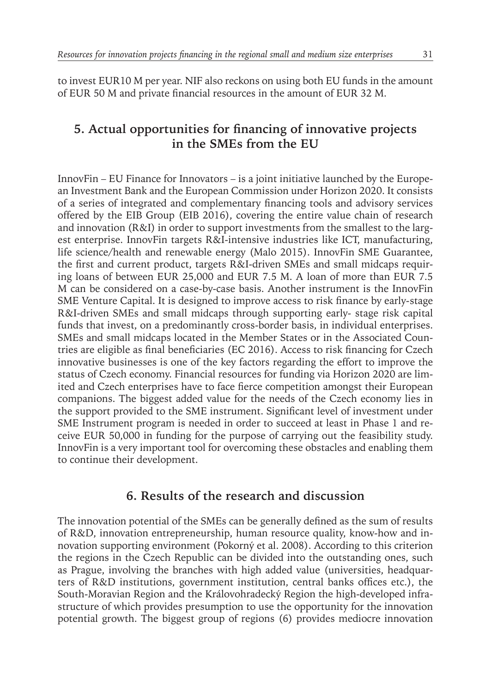to invest EUR10 M per year. NIF also reckons on using both EU funds in the amount of EUR 50 M and private financial resources in the amount of EUR 32 M.

### **5. Actual opportunities for financing of innovative projects in the SMEs from the EU**

InnovFin – EU Finance for Innovators – is a joint initiative launched by the European Investment Bank and the European Commission under Horizon 2020. It consists of a series of integrated and complementary financing tools and advisory services offered by the EIB Group (EIB 2016), covering the entire value chain of research and innovation (R&I) in order to support investments from the smallest to the largest enterprise. InnovFin targets R&I-intensive industries like ICT, manufacturing, life science/health and renewable energy (Malo 2015). InnovFin SME Guarantee, the first and current product, targets R&I-driven SMEs and small midcaps requiring loans of between EUR 25,000 and EUR 7.5 M. A loan of more than EUR 7.5 M can be considered on a case-by-case basis. Another instrument is the InnovFin SME Venture Capital. It is designed to improve access to risk finance by early-stage R&I-driven SMEs and small midcaps through supporting early- stage risk capital funds that invest, on a predominantly cross-border basis, in individual enterprises. SMEs and small midcaps located in the Member States or in the Associated Countries are eligible as final beneficiaries (EC 2016). Access to risk financing for Czech innovative businesses is one of the key factors regarding the effort to improve the status of Czech economy. Financial resources for funding via Horizon 2020 are limited and Czech enterprises have to face fierce competition amongst their European companions. The biggest added value for the needs of the Czech economy lies in the support provided to the SME instrument. Significant level of investment under SME Instrument program is needed in order to succeed at least in Phase 1 and receive EUR 50,000 in funding for the purpose of carrying out the feasibility study. InnovFin is a very important tool for overcoming these obstacles and enabling them to continue their development.

### **6. Results of the research and discussion**

The innovation potential of the SMEs can be generally defined as the sum of results of R&D, innovation entrepreneurship, human resource quality, know-how and innovation supporting environment (Pokorný et al. 2008). According to this criterion the regions in the Czech Republic can be divided into the outstanding ones, such as Prague, involving the branches with high added value (universities, headquarters of R&D institutions, government institution, central banks offices etc.), the South-Moravian Region and the Královohradecký Region the high-developed infrastructure of which provides presumption to use the opportunity for the innovation potential growth. The biggest group of regions (6) provides mediocre innovation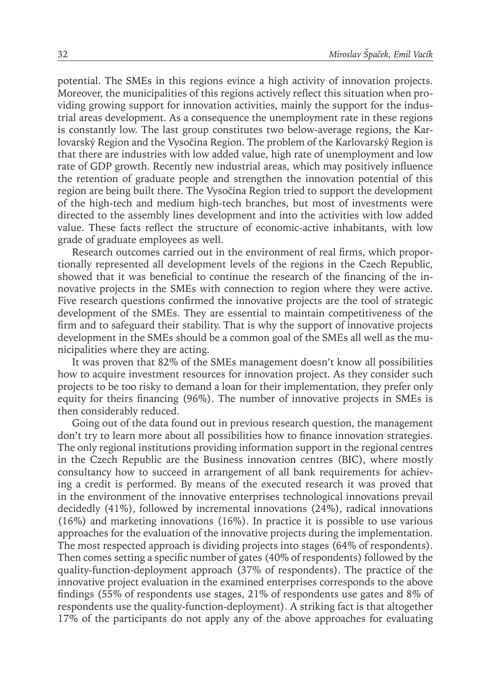potential. The SMEs in this regions evince a high activity of innovation projects. Moreover, the municipalities of this regions actively reflect this situation when providing growing support for innovation activities, mainly the support for the industrial areas development. As a consequence the unemployment rate in these regions is constantly low. The last group constitutes two below-average regions, the Karlovarský Region and the Vysočina Region. The problem of the Karlovarský Region is that there are industries with low added value, high rate of unemployment and low rate of GDP growth. Recently new industrial areas, which may positively influence the retention of graduate people and strengthen the innovation potential of this region are being built there. The Vysočina Region tried to support the development of the high-tech and medium high-tech branches, but most of investments were directed to the assembly lines development and into the activities with low added value. These facts reflect the structure of economic-active inhabitants, with low grade of graduate employees as well.

Research outcomes carried out in the environment of real firms, which proportionally represented all development levels of the regions in the Czech Republic, showed that it was beneficial to continue the research of the financing of the innovative projects in the SMEs with connection to region where they were active. Five research questions confirmed the innovative projects are the tool of strategic development of the SMEs. They are essential to maintain competitiveness of the firm and to safeguard their stability. That is why the support of innovative projects development in the SMEs should be a common goal of the SMEs all well as the municipalities where they are acting.

It was proven that 82% of the SMEs management doesn't know all possibilities how to acquire investment resources for innovation project. As they consider such projects to be too risky to demand a loan for their implementation, they prefer only equity for theirs financing (96%). The number of innovative projects in SMEs is then considerably reduced.

Going out of the data found out in previous research question, the management don't try to learn more about all possibilities how to finance innovation strategies. The only regional institutions providing information support in the regional centres in the Czech Republic are the Business innovation centres (BIC), where mostly consultancy how to succeed in arrangement of all bank requirements for achieving a credit is performed. By means of the executed research it was proved that in the environment of the innovative enterprises technological innovations prevail decidedly (41%), followed by incremental innovations (24%), radical innovations (16%) and marketing innovations (16%). In practice it is possible to use various approaches for the evaluation of the innovative projects during the implementation. The most respected approach is dividing projects into stages (64% of respondents). Then comes setting a specific number of gates (40% of respondents) followed by the quality-function-deployment approach (37% of respondents). The practice of the innovative project evaluation in the examined enterprises corresponds to the above findings (55% of respondents use stages, 21% of respondents use gates and 8% of respondents use the quality-function-deployment). A striking fact is that altogether 17% of the participants do not apply any of the above approaches for evaluating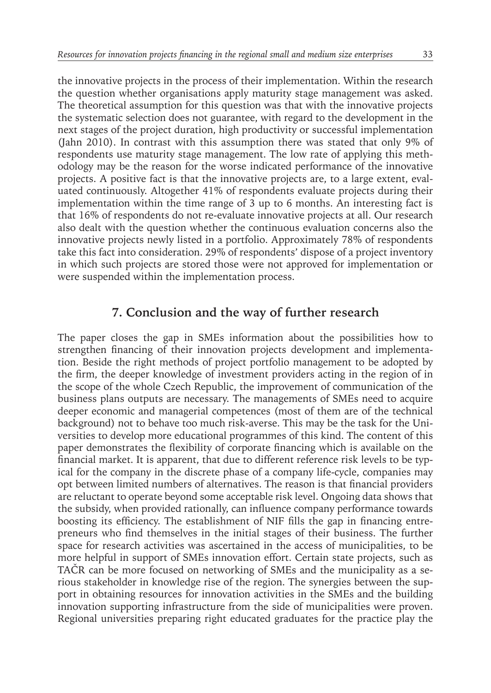the innovative projects in the process of their implementation. Within the research the question whether organisations apply maturity stage management was asked. The theoretical assumption for this question was that with the innovative projects the systematic selection does not guarantee, with regard to the development in the next stages of the project duration, high productivity or successful implementation (Jahn 2010). In contrast with this assumption there was stated that only 9% of respondents use maturity stage management. The low rate of applying this methodology may be the reason for the worse indicated performance of the innovative projects. A positive fact is that the innovative projects are, to a large extent, evaluated continuously. Altogether 41% of respondents evaluate projects during their implementation within the time range of 3 up to 6 months. An interesting fact is that 16% of respondents do not re-evaluate innovative projects at all. Our research also dealt with the question whether the continuous evaluation concerns also the innovative projects newly listed in a portfolio. Approximately 78% of respondents take this fact into consideration. 29% of respondents' dispose of a project inventory in which such projects are stored those were not approved for implementation or were suspended within the implementation process.

### **7. Conclusion and the way of further research**

The paper closes the gap in SMEs information about the possibilities how to strengthen financing of their innovation projects development and implementation. Beside the right methods of project portfolio management to be adopted by the firm, the deeper knowledge of investment providers acting in the region of in the scope of the whole Czech Republic, the improvement of communication of the business plans outputs are necessary. The managements of SMEs need to acquire deeper economic and managerial competences (most of them are of the technical background) not to behave too much risk-averse. This may be the task for the Universities to develop more educational programmes of this kind. The content of this paper demonstrates the flexibility of corporate financing which is available on the financial market. It is apparent, that due to different reference risk levels to be typical for the company in the discrete phase of a company life-cycle, companies may opt between limited numbers of alternatives. The reason is that financial providers are reluctant to operate beyond some acceptable risk level. Ongoing data shows that the subsidy, when provided rationally, can influence company performance towards boosting its efficiency. The establishment of NIF fills the gap in financing entrepreneurs who find themselves in the initial stages of their business. The further space for research activities was ascertained in the access of municipalities, to be more helpful in support of SMEs innovation effort. Certain state projects, such as TAČR can be more focused on networking of SMEs and the municipality as a serious stakeholder in knowledge rise of the region. The synergies between the support in obtaining resources for innovation activities in the SMEs and the building innovation supporting infrastructure from the side of municipalities were proven. Regional universities preparing right educated graduates for the practice play the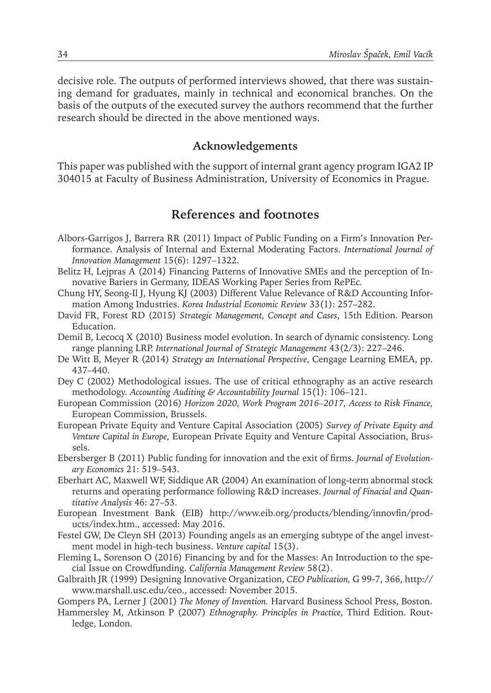decisive role. The outputs of performed interviews showed, that there was sustaining demand for graduates, mainly in technical and economical branches. On the basis of the outputs of the executed survey the authors recommend that the further research should be directed in the above mentioned ways.

#### **Acknowledgements**

This paper was published with the support of internal grant agency program IGA2 IP 304015 at Faculty of Business Administration, University of Economics in Prague.

### **References and footnotes**

- Albors-Garrigos J, Barrera RR (2011) Impact of Public Funding on a Firm's Innovation Performance. Analysis of Internal and External Moderating Factors. *International Journal of Innovation Management* 15(6): 1297–1322.
- Belitz H, Lejpras A (2014) Financing Patterns of Innovative SMEs and the perception of Innovative Bariers in Germany, IDEAS Working Paper Series from RePEc*.*
- Chung HY, Seong-Il J, Hyung KJ (2003) Different Value Relevance of R&D Accounting Information Among Industries. *Korea Industrial Economic Review* 33(1): 257–282.
- David FR, Forest RD (2015) *Strategic Management, Concept and Cases*, 15th Edition. Pearson Education.
- Demil B, Lecocq X (2010) Business model evolution. In search of dynamic consistency. Long range planning LRP. *International Journal of Strategic Management* 43(2/3): 227–246.
- De Witt B, Meyer R (2014) *Strategy an International Perspective*, Cengage Learning EMEA, pp. 437–440.
- Dey C (2002) Methodological issues. The use of critical ethnography as an active research methodology. *Accounting Auditing & Accountability Journal* 15(1): 106–121.
- European Commission (2016) *Horizon 2020, Work Program 2016–2017, Access to Risk Finance,* European Commission, Brussels.
- European Private Equity and Venture Capital Association (2005) *Survey of Private Equity and Venture Capital in Europe,* European Private Equity and Venture Capital Association, Brussels.
- Ebersberger B (2011) Public funding for innovation and the exit of firms. *Journal of Evolutionary Economics* 21: 519–543.
- Eberhart AC, Maxwell WF, Siddique AR (2004) An examination of long-term abnormal stock returns and operating performance following R&D increases. *Journal of Finacial and Quantitative Analysis* 46: 27–53.
- European Investment Bank (EIB) http://www.eib.org/products/blending/innovfin/products/index.htm., accessed: May 2016.
- Festel GW, De Cleyn SH (2013) Founding angels as an emerging subtype of the angel investment model in high-tech business. *Venture capital* 15(3).
- Fleming L, Sorenson O (2016) Financing by and for the Masses: An Introduction to the special Issue on Crowdfunding. *California Management Review* 58(2).
- Galbraith JR (1999) Designing Innovative Organization, *CEO Publication,* G 99-7, 366, http:// www.marshall.usc.edu/ceo., accessed: November 2015.
- Gompers PA, Lerner J (2001) *The Money of Invention.* Harvard Business School Press, Boston.
- Hammersley M, Atkinson P (2007) *Ethnography. Principles in Practice*, Third Edition. Routledge, London.